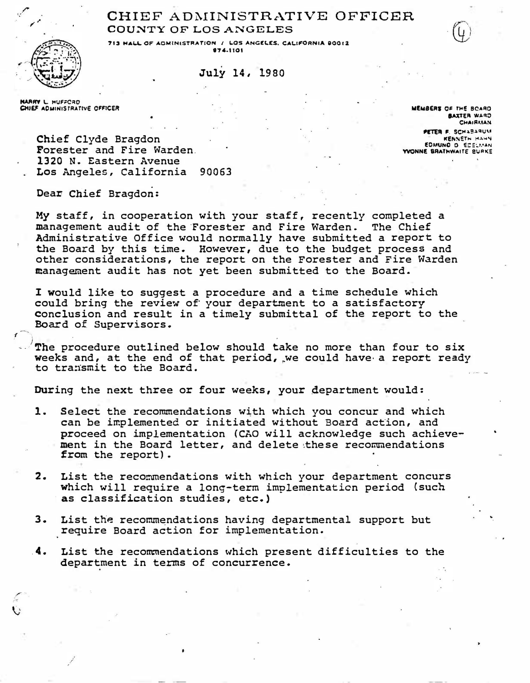## CHIEF ADMINISTRATIVE OFFICER COUNTY OF LOS ANGELES



July 14, 1980

**MARRY L. HUFFCRD** CHIEF ADMINISTRATIVE OFFICER

MEMBERS OF THE ROARD BAXTER WARD **CHAIRMAN** PETER F. SCHABARUM **KENNETH HAHN** EDMUNO D ECELMAN **YVONNE BRATHWAITE BURKE** 

Chief Clyde Bragdon Forester and Fire Warden. 1320 N. Eastern Avenue Los Angeles, California 90063

Dear Chief Bragdon:

My staff, in cooperation with your staff, recently completed a management audit of the Forester and Fire Warden. The Chief Administrative Office would normally have submitted a report to the Board by this time. However, due to the budget process and other considerations, the report on the Forester and Fire Warden management audit has not yet been submitted to the Board.

I would like to suggest a procedure and a time schedule which could bring the review of your department to a satisfactory conclusion and result in a timely submittal of the report to the Board of Supervisors.

The procedure outlined below should take no more than four to six weeks and, at the end of that period, we could have a report ready to transmit to the Board.

During the next three or four weeks, your department would:

- Select the recommendations with which you concur and which 1. can be implemented or initiated without Board action, and proceed on implementation (CAO will acknowledge such achievement in the Board letter, and delete these recommendations from the report).
- $\mathbf{2}$ . List the recommendations with which your department concurs which will require a long-term implementation period (such as classification studies, etc.)
- З. List the recommendations having departmental support but require Board action for implementation.
- 4. List the recommendations which present difficulties to the department in terms of concurrence.